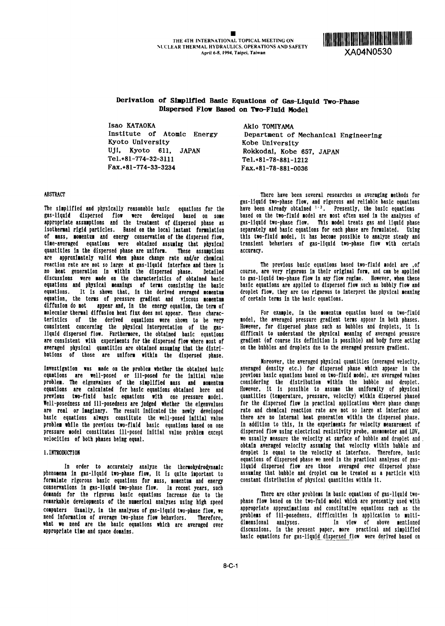

# **Derivation of Slimplifted Basic Equations of Gas-Liquid Two-Phase Dispersed Flow Based on Two-Fluid Model**

Isao KATAOKA<br>Institute of Atomic Energy Bepartment of Kyoto University Kobe University UJI, Kyoto 611, JAPAN Rokkodal, Kobe 657, JAPAN Tel.+81-774-32-3111 Tel.+81-78-881-1212 Fax.+81-774-33-3234 Fax.+81-78-881-0036

Department of Mechanical Engineering

The simplified and physically reasonable basic equations for the have been already obtained <sup>1–3</sup>. Presently, the basic equation gas-liqaid dispersed flow were developed based on some based on the two-fluid odel are most often used in the analyses of appropriate assumptions and the treatment of dispersed phase as **gas-liquid two-phase flow.** This model treats gas and liquid phase<br>isothermal rigid particles. Based on the local instant formulation separately and basic eq isothermal rigid particles. Based on the local instant formulation separately and basic equations for each phase are formulated. Using<br>of mass, momentum and energy conservation of the dispersed flow, this two-fluid model, of mass, momentum and energy conservation of the dispersed flow, this two-fluid model, it has become possible to analyze steady and<br>time-averaged equations were obtained assuming that physical transient behaviors of gas-li time-averaged equations were obtained assuming that physical transient **behaviors of the gas-liquid two-phase flo**<br>quantities in the dispersed-phase are uniform. These assumptions accuracy. quantities in the dispersed phase are uniform. These assumptions are approximately valid when phase change rate and/or chemical reaction rate are not so large at gas-liquid interface and there is The previous basic equations based two-fluid model are , of<br>The previous in the previous in the dispersed phase. Detailed course, are very rigorous in the discussions were made on the characteristics of obtained basic to gas-liquid two-phase flow in any flow regime. However, when these<br>equations and physical meanings of terms consisting the basic basic equations are applied equations and physical meanings of terms consisting the basic basic equations are applied to dispersed flow such as bubbly flow and<br>equations. It is shown that, in the derived averaged momentum droplet flow, they are too r equations. It is shown that, in the derived averaged momentum equation, the terms of pressure gradient and viscous momentum of certain terms in the basic equations.<br>diffusion do not sappear and in the epergy equation the term of appear and, in the energy equation, the term of molecular thermal diffusion heat flux does not appear. These charac-<br>teristics of the derived equations were shown to be very model, the averaged pressure gradient terms appear in both phases. teristics of the derived equations were shown to be very model, the averaged pressure gradient terms appear in both phases.<br>consistent concerning the physical interpretation of the gas- However, for dispersed phase such as consistent concerning the physical Interpretation of the gas- However, for dispersed phase such as bubbles and droplets, it is liquid dispersed flow. Furthermore, the obtained basic equations difficult to understand the physical eaning of averaged pressure liquid dispersed flow. Furthermore, the obtained basic equations difficult to understand the physical meaning of averaged pressure<br>are consistent with experiments for the dispersed flow where most of gradient (of course it averaged physical quantities are obtained assuming that the distributions of those are uniform within the dispersed phase.

Investigation **was** made on the problem whether the obtained basic averaged density etc.) for dispersed phase which appear in the equations are well-posed or ill-posed for the initial value previous-basic-equations-based-on-two-fluid-model,-are-averaged-values<br>- problem. The eigenvalues of the simplified mass and momentum considering the distribution problem. The eigenvalues of the simplified mass and momentum considering the distribution within the bubble and droplet.<br>equations are calculated for basic-equations-obtained here and However, it is possible to assume the equations are calculated for basic equations obtained here and However, It Is possible to **assume** the uniformity of physical previous two-fluid basic equations with one pressure model. quantities (temperature, pressure, velocity) within dispersed phased<br>Well-posedness and ill-posedness are judged whether the eigenvalues for the dispersed flow in Well-posedness and ill-poseduess are judged whether the eigenvalues for the dispersed flow In practical applications where phase change are real or imaginary. The result indicated the newly developed - rate and chemical reaction rate are not so large at interface and<br>basic equations always constitute the well-posed initial value - there are no internal hea basic equations **always** constitute the well-posed Initial value there are no internal heat generation wthin the dispersed phase. problem while the previous two-fluid basic equations based on one In addition to this, In the experiments for velocity easurement of pressure model constitutes ill-posed initial value problem except dispersed flow using electrical resistivity probe, anemometer and LDV,<br>We usually measure the velocity at surface of bubble and droplet and

phenomena in gas-liquid two-phase flow, it is quite important to assuming that bubble and droplet can be treated as a<br>formulate rigorous basic equations for mass, momentum and energy constant distribution of physical quant formulate rigorous basic equations for mass, nomentum and energy conservations In gas-liquld two-phase flow. In recent years, such demands for the rigorous basic equations Increase due to the There are other problems In basic equations of gas-liquid tworemarkable developments of the numerical analyses using high speed phase flow based on the two-fuld model which are presently used with computers Usually, in the analyses of gas-liquid two-phase flow, we appropriate approximations and constitutive equations such as the<br>need information of average two-phase flow behaviors - Therefore - problems of ill-posed need information of average two-phase flow behaviors. Therefore, what we need are the basic equations which are averaged over

ABSTRACT There have been several researches on averaging methods for gas-liquid two-phase flow, and rigorous and reliable basic equations<br>have been already obtained <sup>1–3</sup>. Presently, the basic equations

course, are very rigorous in their original form, and can be applied<br>to gas-liquid two-phase flow in any flow regime. However, when these

Xoreover, the averaged physical quantities (averaged velocity, we usually measure the velocity at surface of bubble and droplet and. obtain averaged velocity assuming that velocity within bubble and I-INTRODUCTION droplet is equal to the velocity at interface. Therefore, basic equations of dispersed phase we need in the practical analyses of gas-In order to accurately analyze the thermohydrodynamic liquid dispersed flow are those averaged over dispersed phase<br>In gas-liquid two-phase flow, it is quite important to assuming that bubble and droplet can be treated as

appropriate time and space domains. Which are averaged over dimensional analyses. In view of above mentioned<br>appropriate time and space domains. Which are averaged over discussions, in the present paper, nore practical and basic equations for gas-liquid dispersed flow were derived based on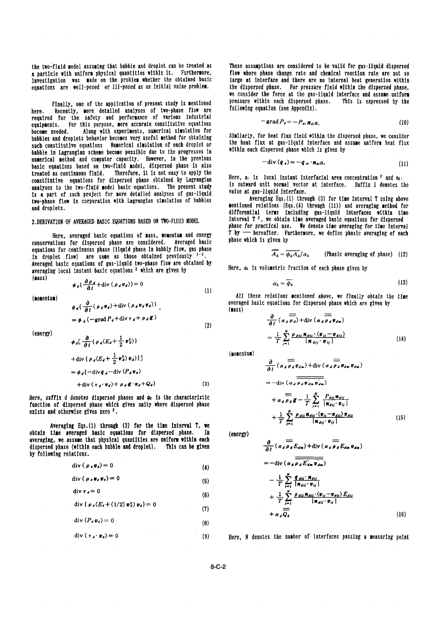the two-fluid model assuming that bubble and droplet can be treated as These assumptions are considered to be valid for gas-liquid dispersed<br>a particle with uniform physical quantities within it. Furthermore, flow where ph a particle with uniform physical quantities within it. Furthermore, flow where phase change rate and chemical reaction rate are not so<br>investigation was made on the problem whether the obtained basic large at interface and Investigation was made on the problem whether the obtained basic equations are well-posed or ill-posed as an Initial value problem. the dispersed phase. For pressure field within the dispersed phase,

here. Recently, more detailed analyses of two-phase flow are following equation (see Appendix). required for the safety and performance of various Industrial equipments. For this purpose, more accurate constitutive equations become needed. Along with experiments, numerical simulation for become heeued. Along with experiments, humerical simulation for Similarly, for heat flux field within the dispersed phase, we consider<br>and constitutive counting winneries ery useful method for obtaining the heat flux at ga such constitutive equations – Numerical simulation of each droplet or – the heat flux at gas-liquid interface and a<br>habble in isgrangian schome became possible due to the progresses in – – Within each dispersed phase which bubble in Lagrangian scheme become possible due to the progresses in numerical method and computer capacity. However, in the previous  $-div(\sigma_i) = -q_i \cdot \sigma_i \sigma_i$ basic equations based on two-fluid model, dispersed phase is also treated as continuous fluid. Therefore, It Is not easy to apply the created as continuous fiurd. Therefore, it is not easy by Lagrangian Here, a<sub>i</sub> is local instant interfacial area concentration <sup>2</sup> and  $n_i$ <br>constitutive equations for dispersed phase obtained by Lagrangian is outward unit analyses to the two-fluid model basic equations. The present study is outward unit normal vector<br>is a part of such project for more detailed analyses of gas-liquid is value at gas-liquid interface. Is a part of such project for more detailed analyses of gas-liquid value at gas-liquid interface.<br>Ime-phase flow in corporation with Lagrangian simulation of bubbles . Averaging Eqs.(1) through (3) for time interval T usin two-phase flow in corporation with Lagrangian simulation of bubbles

 $=\phi_d(-\text{grad }P_d+\text{div }\tau_d+\rho_d\mathbf{g})$ 

conservations for dispersed phase are considered. Averaged basic equations for continuous phase (liquid phase In bubbly flow, gas phase In droplet flow) are same as those obtained previously <sup>1-3</sup>. Averaged basic equations of gas-liquid two-phase flow are obtained by averaged basic equations of gas-riduid two-phase from are obtained by Here,  $a_k$  is volumetric fraction of each phase given by averaging local instant basic equations <sup>2</sup> which are given by

$$
f_{\rm{max}}
$$

$$
\phi_d[\frac{\partial}{\partial t} \{ \rho_d (E_d + \frac{1}{2} v_d^2) \} = \frac{1}{T} \sum_{j=1}^T \frac{\rho_{d(i)} u_d v_j \{ \sigma_{d(i)} \} \{ \sigma_{d(i)} \} \}}{|\mathbf{R}_{d(i)} \cdot \mathbf{v}_{ij}|} \qquad (14)
$$
\n
$$
= \phi_d \{-\text{div}(\rho_d (E_d + \frac{1}{2} v_d^2) v_d) \} \qquad \text{(nocentu)}
$$
\n
$$
= \phi_d \{-\text{div}(\rho_d v_d - \text{div}(\rho_d v_d) \} \qquad (3)
$$
\n
$$
= -\text{div}(\alpha_d \rho_d v_{dm} v_{dm}) \qquad (4)
$$
\n
$$
= -\text{div}(\alpha_d \rho_d v_{dm} v_{dm}) \qquad (5)
$$

Here, suffix d denotes dispersed phases and  $\phi_0$  is the characteristic function of dispersed phase which gives unity where dispersed phase exists and otherwise gives zero <sup>2</sup>.

Averaging Eqs.(1) through (3) for the time interval T, we obtain time averaged basic equations for dispersed phase. In (energy) averaging, we assume that physical quantities are uniform within each dispersed phase (within each bubble and droplet). This can be given by following relations.

$$
\operatorname{div}(\rho_{\ell} \mathbf{v}_{\ell}) = 0 \qquad \qquad (4) \qquad \qquad \mathbf{v}_{\ell} \mathbf{v}_{\ell} \mathbf{v}_{\ell}
$$

$$
\operatorname{div}\left(\rho_{\ell}\mathbf{v}_{\ell}\mathbf{v}_{\ell}\right)=0\qquad \qquad (5)\qquad \qquad -\frac{1}{\pi}\sum_{i=1}^{n}\frac{q_{\ell}u_{i}\mathbf{v}_{i}}{n}
$$

$$
\operatorname{div} \tau_{d} = 0 \qquad \qquad (2)
$$

$$
\operatorname{div} \{ \rho_a (E_t + (1/2) \mathbf{v}_a^2) \mathbf{v}_a \} = 0
$$
\n
$$
(7)
$$
\n
$$
\mathbf{T} \stackrel{\mathbf{A}}{=} \mathbf{T}
$$

$$
\text{div}\left(P_{\ell}\mathbf{v}_{\ell}\right)=0\tag{8}
$$

$$
\operatorname{div} \left( \tau_{d} \cdot \boldsymbol{v}_{d} \right) = 0 \tag{9}
$$

we consider the force at the gas-liquid interface and assume uniform<br>pressure within each dispersed phase. This is expressed by the Finally, one of the application of present study Is mentioned pressure within each dispersed phase. This is expressed by the

$$
grad P_d = -P_{di} \pi_{di} a_i \tag{10}
$$

$$
-div (q_{i}) = -q_{i} \cdot n_{i} a_{i}
$$
 (11)

and droplets. mentioned relations (Eqs.(4) through (11)) and averaging method for differential terms Including gas-lIqn1d Interfaces within **time** 2. DERIVATION OF AVERAGED BASIC EQUATIONS BASED ON TWO-FLUID MODEL interval T<sup>2</sup>, we obtain time averaged basic equations for dispersed phase for practical use. We denote time averaging for time interval Here, averaged basic equations of mass, momentum and energy T by - hereafter. Furthermore, we define phasic averaging of each<br>stions for dispersed phase are considered averaged basic - phase which is given by

$$
\overline{A_k} = \overline{\phi_k A_k}/\alpha_k
$$
 (Phase) (12)

(lass)  $\phi_d\left\{\frac{\partial \rho_d}{\partial t} + \text{div} \left( \rho_d v_d \right) \right\} = 0$  (13)

(momentum)  $\partial$  (momentum)  $\partial$   $\partial$  averaged basic equations for dispersed phase which are given by  $\phi_d\{\frac{\partial}{\partial t}(\rho_d v_d) + \text{div}(\rho_d v_d v_d)\}$  averagiven by  $($ **n**ass)

$$
= \phi_d \left( -\text{grad } P_d + \text{div } \tau_d + \rho_d \mathcal{E} \right)
$$
\n
$$
\phi_d \left[ \frac{\partial}{\partial t} \left( \rho_d (E_d + \frac{1}{2} \mathbf{v}_d^2) \right) \right]
$$
\n
$$
\phi_d \left[ \frac{\partial}{\partial t} \left( \rho_d (E_d + \frac{1}{2} \mathbf{v}_d^2) \right) \right]
$$
\n
$$
\tag{14}
$$

$$
\frac{\partial}{\partial t} \left( \alpha_d \overrightarrow{\rho_d} \overrightarrow{v_{dm}} \right) + \text{div} \left( \alpha_d \overrightarrow{\rho_d} \overrightarrow{v_{dm}} \overrightarrow{v_{dm}} \right)
$$
\n
$$
= - \text{div} \left( \alpha_d \overrightarrow{\rho_d} \overrightarrow{v_{dm}} \overrightarrow{v_{dm}} \right)
$$
\n
$$
+ \alpha_d \overrightarrow{\rho_d} \overrightarrow{g} - \frac{1}{T} \sum_{j=1}^N \frac{P_{dij} \overrightarrow{n_{dij}}}{|\overrightarrow{n_{dij} \cdot v_{ij}|}}
$$
\n
$$
+ \frac{1}{T} \sum_{j=1}^N \frac{p_{dij} \overrightarrow{n_{dij} \cdot v_{ij}}}{|\overrightarrow{n_{dij} \cdot v_{ij}|}}
$$
\n(15)

*N* (6) + 1 'V *P dii Xdmi'(Vit \_Vdid Edii*

Here. N denotes the number of interfaces passing a measuring point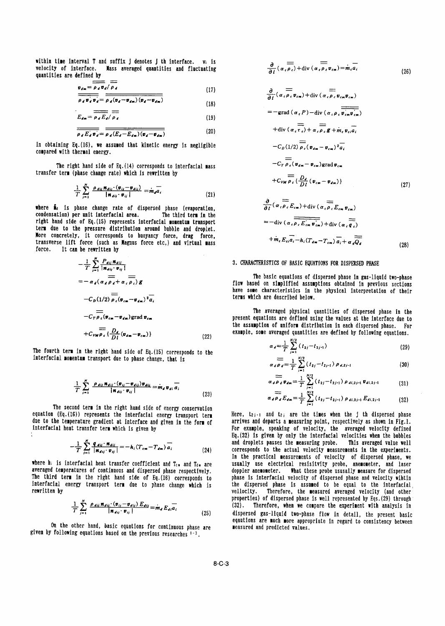within time interval T and suffix j denotes j th interface. vi is velocity of interface. Mass averaged quantities and fluctuating quantities are defined by

$$
v_{\ell m} = \rho_{\ell} v_{\ell} / \rho_{\ell} \tag{17}
$$

$$
\frac{\partial f}{\partial t} \mathbf{v}_e \mathbf{v}_e = \frac{\partial f}{\partial t} \mathbf{v}_e \mathbf{v}_{e\mathbf{m}} \mathbf{v}_{\mathbf{c\mathbf{m}}} + \mathbf{u} \mathbf{v} \left( \alpha_e \rho_e \mathbf{v}_{e\mathbf{m}} \right) + \mathbf{u} \mathbf{v} \left( \alpha_e \rho_e \mathbf{v}_{e\mathbf{m}} \right) + \mathbf{u} \mathbf{v} \left( \alpha_e \rho_e \mathbf{v}_{e\mathbf{m}} \right) + \mathbf{u} \mathbf{v} \left( \alpha_e \rho_e \mathbf{v}_{e\mathbf{m}} \right) + \mathbf{u} \mathbf{v} \left( \alpha_e \rho_e \mathbf{v}_{e\mathbf{m}} \right) + \mathbf{u} \mathbf{v} \left( \alpha_e \rho_e \mathbf{v}_{e\mathbf{m}} \right) + \mathbf{u} \mathbf{v} \left( \alpha_e \rho_e \mathbf{v}_{e\mathbf{m}} \right) + \mathbf{u} \mathbf{v} \left( \alpha_e \rho_e \mathbf{v}_{e\mathbf{m}} \right) + \mathbf{u} \mathbf{v} \left( \alpha_e \rho_e \mathbf{v}_{e\mathbf{m}} \right) + \mathbf{u} \mathbf{v} \left( \alpha_e \rho_e \mathbf{v}_{e\mathbf{m}} \right) + \mathbf{u} \mathbf{v} \left( \alpha_e \rho_e \mathbf{v}_{e\mathbf{m}} \right) + \mathbf{u} \mathbf{v} \left( \alpha_e \rho_e \mathbf{v}_{e\mathbf{m}} \right) + \mathbf{u} \mathbf{v} \left( \alpha_e \rho_e \mathbf{v}_{e\mathbf{m}} \right) + \mathbf{u} \mathbf{v} \left( \alpha_e \rho_e \mathbf{v}_{e\mathbf{m}} \right) + \mathbf{u} \mathbf{v} \left( \alpha_e \rho_e \mathbf{v}_{e\mathbf{m}} \right) + \mathbf{u} \mathbf{v} \left( \alpha_e \rho_e \mathbf{v}_{e\mathbf{m}} \right) + \mathbf{u} \mathbf{v} \left( \alpha_e \rho_e \mathbf{v}_{e\mathbf{m}} \right) + \mathbf{u} \mathbf{v} \left( \alpha_e \rho_e \mathbf{v}_{e\mathbf{m}} \right) + \mathbf
$$

$$
E_{d_m} = \overline{\rho_d E_d / \rho_d} = -\text{grad} \left( \alpha_c P \right) - \text{div} \left( \alpha_c \rho_c \overline{v_{cm} v_{cs}} \right)
$$

$$
\frac{\overline{\rho_d E_d v_d}}{\rho_d E_d v_d} = \frac{\overline{\rho_d (E_d - E_{dm})(v_d - v_{dm})}}{\rho_d E_d v_d}
$$
 (20)

In obtaining Eq.(16), we assumed that kinetic energy is negligible compared wth thermal energy.

The right hand side of Eq.(14) corresponds to interfacial mass transfer term (phase change rate) which is rewritten by

$$
\frac{1}{T}\sum_{j=1}^{N}\frac{\rho_{dij}\mathbf{R}_{dij}\cdot(\mathbf{v}_{ij}-\mathbf{v}_{dij})}{\|\mathbf{R}_{dij}\cdot\mathbf{v}_{ij}\|}=\dot{m}_d\overline{a}_i
$$
\n(21)

where  $\mathring{\mathbf{n}}_d$  is phase change rate of dispersed phase (evaporation, condensation) per nit Interfacial area. The third term In the right hand side of Eq.(15) represents interfacial momentum transport  $=-\text{div}(a_e\overrightarrow{\rho_eE_{cm}v_{cm}})+\text{div}(a_e\overrightarrow{q_e})$ term due to the pressure distribution around bubble and droplet. More concretely, it corresponds to buoyancy force, drag force, transverse lift force (such as Magnus force etc.) and virtual mass force. It can be rewritten by

$$
\frac{1}{T} \sum_{j=1}^{R} \frac{P_{dij} \pi_{dij}}{|\pi_{dij} \cdot \mathbf{v}_{ij}|} \n= -\alpha_d (\alpha_d \overrightarrow{\rho_d} + \alpha_c \overrightarrow{\rho_c}) g \n- C_D(1/2) \overrightarrow{\rho_c} (\mathbf{v}_{cn} - \mathbf{v}_{dn})^2 \overrightarrow{a_i} \n- C_T \overrightarrow{\rho_c} (\mathbf{v}_{cn} - \mathbf{v}_{dn}) \text{grad } \mathbf{v}_{cn} \n+ C_{VMP} \overrightarrow{b_c} \{ \frac{D_d}{Dt} (\mathbf{v}_{dn} - \mathbf{v}_{cn}) \}
$$
\n(22)

The fourth term in the right hand side of Eq.(15) corresponds to the interfacial momentum transport due to phase change, that is  $\alpha$ 

$$
\frac{1}{T} \sum_{j=1}^{N} \frac{\rho_{dij} \mathbf{n}_{dij} \cdot (\mathbf{v}_{ij} - \mathbf{v}_{dij}) \mathbf{v}_{dij}}{\left| \mathbf{n}_{dij} \cdot \mathbf{v}_{ij} \right|} = \dot{\mathbf{m}}_{d} \mathbf{v}_{di} \overline{a}_{i}
$$
\n(23)

**adPdEd.**  $\alpha_dP_dE_d = \frac{1}{T} \sum_{i=1}^{T} (t_{2j} - t_{2j-1}) P_{di,2j-1} E_{di,2j-1}$  (32)<br>
1 (Eq.(16) represents the interfacial energy transport term Here, t<sub>2j-1</sub> and t<sub>2j</sub> are the times when the j th dispersed phase equation (Eq.(16)) represents the interfacial energy transport term Here, t2j-i and t2j are the times when the j th dispersed phase<br>due to the temperature gradient at interface and given in the form of arrives and departs due to the temperature gradient at interface and given in the form of interfacial heat transfer term which is given by ÷

$$
-\frac{1}{T}\sum_{i=1}^{N}\frac{q_{\textit{dij}}\cdot\boldsymbol{n}_{\textit{dij}}}{|\boldsymbol{n}_{\textit{dij}}\cdot\boldsymbol{v}_{ij}|} = -h_i(T_{\textit{cm}}-T_{\textit{dm}})\overline{a_i} \qquad (24)
$$

averaged temperatures of continuous and dispersed phase respectively. The third term in the right hand side of Eq.(16) corresponds to phase Is Interfacial velocity of dispersed phase and velocity wIhtIn interfacial energy transport term due to phase change which is rewritten by

$$
\frac{1}{T}\sum_{j=1}^{N}\frac{\rho_{dij}\,\mathbf{n}_{dij}\cdot(\mathbf{v}_{ij}-\mathbf{v}_{dij})\,E_{dij}}{|\mathbf{n}_{dij}\cdot\mathbf{v}_{ij}|}=\dot{\mathbf{m}}_{d}\,E_{di}\overline{a_{i}}
$$
\n(25)

On the other hand, basic equations for continuous phase are given by following equations based on the previous researches  $1-3$ .

$$
\frac{\partial}{\partial t} (\alpha_{\epsilon} \overline{\rho_{\epsilon}}) + \text{div} (\alpha_{\epsilon} \overline{\rho_{\epsilon}} v_{\epsilon m}) = \dot{m}_{\epsilon} \overline{a_{i}}
$$
\n(26)

$$
\frac{\partial}{\partial t} (\alpha_{c} \rho_{c} v_{cm}) + \text{div} (\alpha_{c} \rho_{c} v_{cm} v_{cm})
$$
\n
$$
= -\text{grad} (\alpha_{c} P) - \text{div} (\alpha_{c} \rho_{c} \overline{v_{cm} v_{cm}})
$$
\n
$$
+ \text{div} (\alpha_{c} \overline{r_{c}}) + \alpha_{c} \overline{\rho_{c}} g + m_{c} v_{cm} \overline{a_{i}}
$$
\n
$$
- C_{D} (1/2) \overline{\rho_{c}} (\nu_{dm} - \nu_{cm})^{2} \overline{a_{i}}
$$
\n
$$
- C_{F} \overline{\rho_{c}} (\nu_{dm} - \nu_{cm}) \text{grad} v_{cm}
$$
\n
$$
+ C_{VM} \overline{\rho_{c}} \left\{ \frac{D_{d}}{Dt} (\nu_{cm} - \nu_{cm}) \right\}
$$
\n
$$
\frac{\partial}{\partial t} (\alpha_{c} \overline{\rho_{c}} E_{cm}) + \text{div} (\alpha_{c} \overline{\rho_{c}} E_{cm} v_{cm})
$$
\n
$$
= - \text{div} (\alpha_{c} \overline{\rho_{c}} E_{cm}) + \text{div} (\alpha_{c} \overline{\rho_{c}} E_{cm} v_{cm})
$$
\n
$$
= - \text{div} (\alpha_{c} \overline{\rho_{c}} E_{cm}) + \text{div} (\alpha_{c} \overline{\rho_{c}} E_{cm} v_{cm})
$$
\n
$$
= - \text{div} (\alpha_{c} \overline{\rho_{c}} E_{cm}) + \text{div} (\alpha_{c} \overline{\rho_{c}} E_{cm} v_{cm})
$$

$$
+ \dot{m}_\epsilon \overrightarrow{E_{\epsilon i} a_i} - h_i (T_{d_m} - T_{\epsilon_m}) \overrightarrow{a_i} + \alpha_d \overrightarrow{Q_d}
$$
\n(28)

## 3. CHARACTERISTICS OF BASIC EQUATIONS FOR DISPERSED PHASE

The basic equations of dispersed phase in gas-liquid two-phase *=-a d(ad Pd+ a, P<sub>s</sub>) g flow based on simplified assumptions obtained in previous sections* have some characteristics In the physical Interpretation of their terms which are described below.

> The averaged physical quantities of dispersed phase in the present equations are defined using the values at the interface due to the assumption of uniform distribution in each dispersed phase. For *D* example, some averaged quantities are defined by following equations.

$$
\alpha_d = \frac{1}{T} \sum_{j=1}^{N/2} (t_{2j} - t_{2j-1})
$$
\n(29)

$$
\sum_{\ell \neq \ell} \frac{1}{\rho_{\ell}} \sum_{j=1}^{N/2} (t_{2j} - t_{2j-1}) \rho_{\ell, 2j-1}
$$
 (30)

$$
\alpha_d \overrightarrow{\rho}_d \mathbf{v}_{dm} = \frac{1}{T} \sum_{j=1}^{N/2} (t_{2j} - t_{2j-1}) \rho_{di,2j-1} \mathbf{v}_{di,2j-1}
$$
(31)

$$
\overline{H}_d \overline{P}_d E_{dn} = \frac{1}{T} \sum_{j=1}^{N/2} (t_{2j} - t_{2j-1}) \rho_{di, 2j-1} E_{di, 2j-1}
$$
(32)

For example, speaking of velocity, the averaged velocity defined Eq.(32) Is given by only the interfacial velocities when the bubbles and droplets passes the measuring probe. This averaged value well corresponds to the actual velocity measurements in the experiments. In the practical measurements of velocity of dispersed phase, we where h<sub>i</sub> is interfacial heat transfer coefficient and  $T_{\rm ch}$  and  $T_{\rm ch}$  are usually use electrical resisitvity probe, anemometer, and laser averaged temperatures of continuous and dispersed phase respectively. doppl the dispersed phase is assumed to be equal to the interfacial vellocity. Therefore, the measured averaged velocity (and other velocity. properties) of dispersed phase is well represented by Eqs.(29) through <sup>1</sup>*PdijXdii'\*jVdij)Edi* (32). Therefore, when we compare the experiment with analysis in *=Md Ediaj* dispersed gas-liquid two-phase flow in detail, the present basic equations are much more appropriate in regard to consistency between<br>measured and predicted values.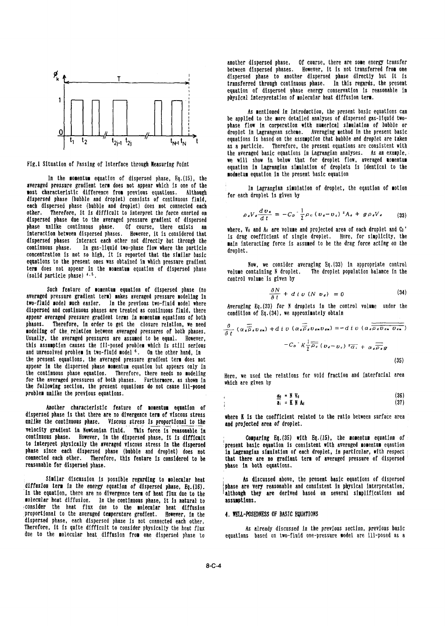

In the momentum equation of dispersed phase, Eq.(15), the modmetum equation in the present basic equation averaged pressure gradient term does not appear which Is *one* of the In Lagrangian simulation of droplet, the eaution of motion most characteristic difference from previous equations. Although for each droplet is given by dispersed phase (bubble and droplet) consists of continuous fluid, each dispersed phase (bubble and droplet) does not connected each<br>other. Therefore, it is difficult to interpret the force exerted on Therefore, it is difficult to interpret the force exerted on  $\ell$ dispersed phase due to the averaged pressure gradient of dispersed phase unlike continuous phase. Of course, there exists an where, V<sub>d</sub> and Ad are volume-and-projected area-of-each-droplet and C<sub>D</sub>'<br>interaction-between-dispersed-phases. However, it is-considered-that the drag coefficient interaction between dispersed phases. However, it is considered that is drag coefficient of single droplet. Here, for simplicity, the<br>dispersed phases interact each other not directly but through the service pointeractive dispersed phases interact each other not directly but through the main interacting force is assumed to be the drag force acting *on* the In gas-liquid two-phase flow where the particle droplet. concentration Is not so high, it is reported that the similar basic equations to the present ones was obtained in which pressure gradient<br>
tow, we consider averaging Eq.(33) in appropriate control term does not appear in the momentum equation of dispersed phase volume containing N droplet. The droplet population balance in the (solid particle phase)  $4.5$ .<br>control volume is given by<br>control volume is given by

Such feature of **momentum** equation of dispersed phase (no averaged pressure gradient term) makes averaged pressure nodeling in two-fluid model much easier. In the previous two-fluid model where Averaging Eq.(33) for N droplets in the control volume under the dispersed and continuous phases are treated as continuous fluid, there condition of Eq.(34), we approximately obtain appear averaged pressure gradient terms In omentum equations of both phases. Therefore, in order to get the closure relation, we need modeling of the relation between averaged pressures of both phases.<br>Usually, the averaged pressures are assumed to be equal. However. Usually, the averaged pressures are assumed to be equal. this assumption causes the *ill-posed problem which is still serious* and unresolved problem in two-fluid model  $6$ . On the other hand, in the present equations, the averaged pressure gradient term does not (35) appear in the dispersed phase momentum equation but appears only in the continuous phase equation. Therefore, there needs no modeling<br>for the averaged pressures of both phases. Furthermore, as shown in which are given by the following section, the present equations do not cause ill-posed problem unlike the previous equations.

Another characteristic feature of **momentum** equation of dispersed phase is that there are no divergence term of viscous stress where K is the coefficient related to the ratio between surface area unlike the continuous phase. *Viscous stress* Is proportional to the and projected area of droplet. velocity gradient in Newtonian fluid. This force is reasonable In continuous phase. However, in the dispersed phase, it is difficult comparing Eq.(35) with Eq.(15), the momentum equation of<br>to interpret physically the averaged viscous stress in the dispersed ipresent basic equation is co to interpret physically the averaged viscous stress in the dispersed<br>phase since each dispersed phase (bubble and droplet) does not reasonable for dispersed phase.

diffusion term in the energy equation of dispersed phase, Eq.(16).<br>In the equation, there are no divergence term of heat flux due to the **although they are derived based on several simplifications** and In the equation, there are no divergence term of heat flux due to the molecular heat diffusion. In the continuous phase, It Is natural to assumptions. consider the heat flux due to the molecular heat diffusion proportional to the averaged temperature gradient. However, in the 4. WELL-POSEDNESS OF BASIC EQUATIONS dispersed phase, each dispersed phase Is not connected each other. Therefore, it is quite difficult to consider physically the heat flux **As already discussed in the previous section**, previous basic

another dispersed phase. Of course, there are some energy transfer between dispersed phases. However, It is not transferred from one  $\overline{\mathcal{A}}$  and  $\overline{\mathcal{A}}$  are to another dispersed phase to another dispersed phase directly but it is transferred through continuous phase. In this regards, the present equation of dispersed phase energy conservation is reasonable in physical interpretation of molecular heat diffusion term.

As entioned In Introduction, the present basic equations can be applied to the more detailed analyses of dispersed gas-liquid twophase flow In corperation with numerical simulation of bubble or 0 1 4 4 0 droplet in Lagrangean scheme. Averaging method in the present basic<br>that is the the the teater called equations is based on the assumption that bubble and droplet are taken t<sub>2</sub> t<sub>2j-1</sub> t<sub>2j</sub> " t<sub>N+1</sub> t<sub>N</sub> t equations is based on the assumption that bubble and droplet are taken as a particle. Therefore, the present equations are consistent with the averaged basic equations in Lagrangian analyses. As an example, we will show in below that for droplet flow, averaged momentum Fig.1 Situation of Passing of Interface through Measuring Point we want in below in below that for droplets is identical to the

$$
\rho_{a}V_{a}\frac{d\,v_{a}}{d\,t}=-C_{b}^{-1}\frac{1}{2}\rho_{c}\left(v_{a}-v_{c}\right){}^{2}A_{a}+g\rho_{a}V_{a}\qquad\qquad(33)
$$

$$
\frac{\partial N}{\partial t} + d i v \ (N v_a) = 0 \tag{34}
$$

$$
\frac{\partial}{\partial t} (\alpha_{a} \overline{\overline{\rho}}_{a} v_{a\mathbf{x}}) + d i v (\alpha_{a} \overline{\overline{\rho}}_{a} v_{a\mathbf{x}} v_{a\mathbf{x}}) = - d i v (\alpha_{a} \overline{\overline{\rho}_{a} v_{a\mathbf{x}} v_{a\mathbf{x}}})
$$

$$
- C_{b} K \frac{1}{2} \overline{\overline{\rho}_{c}} (v_{a} - v_{c})^2 \overline{\alpha_{i}} + \alpha_{a} \overline{\overline{\rho}_{a}} g
$$
(35)

$$
\frac{a_4}{a_1} = N V_d \tag{36}
$$
\n
$$
\frac{a_5}{a_1} = K N A_d \tag{37}
$$

in Lagrangian simulation of each droplet, in particular, with respect connected each other. Therefore, this feature is considered to be that there are no gradiant term of averaged pressure of dispersed<br>reasonable for dispersed phase.

Similar discussion is possible regarding to molecular heat As discussed above, the present basic equations of dispersed<br>A term in the energy equation of dispersed phase, Eq.(16). Phase are very reasonable and consistent in

due to the nolecular heat diffusion from one dispersed phase to equations based on two-fluid one-pressure nodel are ill-posed as a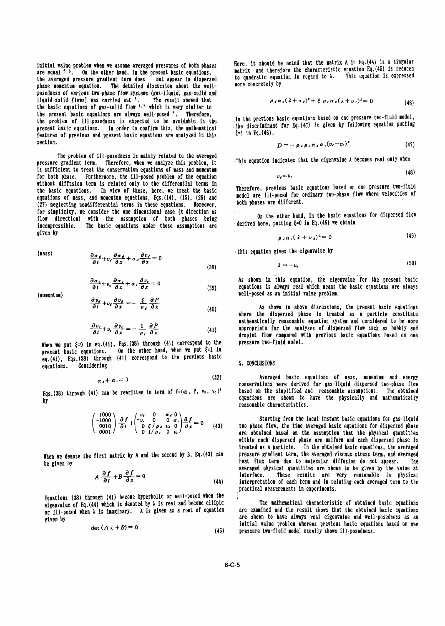are equal  $5.6$ . On the other hand, in the present basic equations, the averaged pressure gradient term does not appear in dispersed to quadratic equation in regard to  $\lambda$ . This equation is expressed<br>phase momentum equation. The detailed discussion about the well-<br>phase momentum equation. phase momentum equation. The detailed discussion about the well*posedness of arious two-phase flow systems* (gas-11quid, gas-solld and liquid-solid flows) was carried out <sup>5</sup>. The result showed that  $\rho_d \alpha_s (\lambda + v_s)^2 + \xi \rho_s \alpha_s (\lambda + v_s)^2 = 0$  (46) the basic equations of gas-solid flow  $4.5$  which is very similar to the present basic equations are always well-posed  $5$ . Therefore, the problem basic equations are always well-posed 5. Increase, In the In the previous basic equations based on one pressure two-fluid model,<br>the problem of III-posedness is expected to be avoidable in the alisoriminant for *present basic* equations. In order to confirm this, the mathematical *ithe discriminan*<br>
foatures of previous and present basic equations are analyzed in this  $\xi = 1$  in Eq.(46). features of previous and present basic equations are analyzed in this section.<br> $D=-\rho_{d}\rho_{e}\alpha_{d}\alpha_{s}(v_{d}-v_{c})^{2}$  (47)

The problem of ill-posedness is mainly related to the averaged This eqaution indicates that the eigenvalue A becomes real only when<br>Corrected Therefore, when we analyze this problem it This eqaution indicates that the eige pressure gradient term. Therefore, when we analyze this problem, it is sufficient to treat the conservation equations of mass and momentum  $\mu_{(48)}$ for both phase. Furthermore, the Ill-posed problem of the equation without diffusion term Is related only to the differential terms In nium with the basic equations. In view of the contractions of the contract the basic equations based on one pressure two-fluid<br>the basic equations. In view of these, here, we treat the basic and and are ill-posed for ordin equations of mass, and momentum equations, Eqs.(14), (15), (26) and and model are Ill-posed for ordinary two-phases for ordinary two-phases are different. (27) neglecting nondifferential terms in these equations. Moreover, for simplicity, we consider the one dimensional case (x direction as  $\frac{1}{100}$  on the other hand, in the basic equations for dispersed flow<br>flow direction) with the assumption of both phases being (derived here, putting incompressible. The basic equations under these assumptions are given by  $a_1 \propto (2 + n_1)^2 = 0$  (49)

(mass)

\n
$$
\frac{\partial \alpha_d}{\partial t} + v_d \frac{\partial \alpha_d}{\partial x} + \alpha_d \frac{\partial v_d}{\partial x} = 0
$$
\n(50)

\n(50)

$$
\frac{\partial \alpha_{\epsilon}}{\partial t} + v_{\epsilon} \frac{\partial \alpha_{\epsilon}}{\partial x} + \alpha_{\epsilon} \frac{\partial v_{\epsilon}}{\partial x} = 0
$$
\n(39)

$$
\frac{\partial v_d}{\partial t} + v_d \frac{\partial v_d}{\partial x} = -\frac{\xi}{\rho_d} \frac{\partial P}{\partial x}
$$
 (40) As shown in above discussion

$$
\frac{\partial v_{\epsilon}}{\partial t} + v_{\epsilon} \frac{\partial v_{\epsilon}}{\partial x} = -\frac{1}{\rho_{\epsilon}} \frac{\partial P}{\partial x}
$$
 (41)

When we put  $\xi=0$  in eq.(41), Eqs.(38) through (41) correspond to the present basic equations. On the other hand, when we put  $\xi=1$  in eq.(41), Eqs.(38) through (41) correspond to the previous basic equations. Considering  $\frac{1}{2}$  corresponding 5. CONCLUSIONS

$$
\alpha_{\ell} + \alpha_{\ell} = 1 \tag{42}
$$

Eqs.(38) through (41) can be rewritten in term of  $f = (\alpha_d, P, v_d, v_c)^T$ 

$$
\begin{pmatrix} 1000 \\ -1000 \\ 0010 \\ 0001 \end{pmatrix} \frac{\partial f}{\partial t} + \begin{pmatrix} v_t & 0 & \alpha_t & 0 \\ -v_t & 0 & 0 & \alpha_t \\ 0 & \xi / \rho_t & v_t & 0 \\ 0 & 1 / \rho_t & 0 & v_t \end{pmatrix} \frac{\partial f}{\partial x} = 0 \qquad (43)
$$

be given by heat flux term due to molecular diffusion do not appear.<br>be given by

$$
A \frac{\partial f}{\partial t} + B \frac{\partial f}{\partial x} = 0 \tag{44}
$$

Equations  $(38)$  through  $(41)$  become hyperbolic or well-posed when the eigenvalue of Eq. (44) which is denoted by  $\lambda$  is real and become ellipic The mathematical characteristic of obtained basic equations<br>an ill posed when his imaginary his given as a root of equation are examined and the r or Ill-posed when  $\lambda$  is imaginary.  $\lambda$  is given as a root of equation

$$
\det\left(A\,\lambda+B\right)=0\tag{45}
$$

initial value problem when we assume averaged pressures of both phases Here, it should be noted that the matrix A in Eq. (44) is a singular<br>are equal 5.6. On the other hand, in the present basic equations **antitude in a** m

$$
\rho_{\ell}\alpha_{\ell}(\lambda+\nu_{\ell})^2+\xi \rho_{\ell}\alpha_{\ell}(\lambda+\nu_{\ell})^2=0
$$
 (46)

$$
D = -\rho_d \rho_c \alpha_d \alpha_c (v_c - v_c)^2 \tag{47}
$$

$$
v_{\epsilon} = v_{\epsilon} \tag{48}
$$

$$
\rho_{\lambda} \alpha_{\lambda} (\lambda + \nu_{\lambda})^2 = 0 \tag{49}
$$

$$
\lambda = -v_d \tag{50}
$$

As shown in this equation, the eigenvalue for the present basic **9) equations is always real which means the basic equations are always**<br>well-posed as an initial value problem.

*a*<sub>2</sub>) **a** As shown in above discussions, the present basic equations where the dispersed phase Is treated as a particle constitute **mathematically reasonable equation system and considered to be more** appropriate for the analyses of dispersed flow such as bubbly and droplet flow compared with previous basic equations based on one pressure two-fluid model.

*(42)* Averaged basic equations of mass, momentum and energy conservations were derived for gas-liquid dispersed two-phase flow<br>*v<sub>c</sub>*)<sup>7</sup> based on the simplified and reasonable assumptions. The obtained by equations are shown to have the physically and mathematically<br>by reasonable characteristics.

Starting from the local instant basic equations for gas-liquid two phase flow, the time averaged basic equations for dispersed phase are obtained based on the assumption that the physical quantities within each dispersed phase are uniform and each dispersed phase Is treated as a particle. In the obtained basic equations, the averaged pressure gradient term, the averaged viscous stress term, and averaged When we denote the first matrix by A and the second by B, Eq.(43) can pressure gradient term, the averaged viscous stress term, and averaged<br>heat flux term due to molecular diffusion do not appear. The averaged physical quantities are shown to be given by the value at<br>*A*  $\frac{\partial f}{\partial t} + B \frac{\partial f}{\partial x} = 0$  interface. These results are very reasonable in physical interpretation of each term and in relating each averaged term to the practical easurements In experiments.

given by a shown to have always real eigenvalue and well-posedness as an are shown to have always real eigenvalue and well-posedness as an are shown to have always real eigenvalue and well-posedness as an are shown to have (45) pressure two-fluid model usually shows ill-posedness.